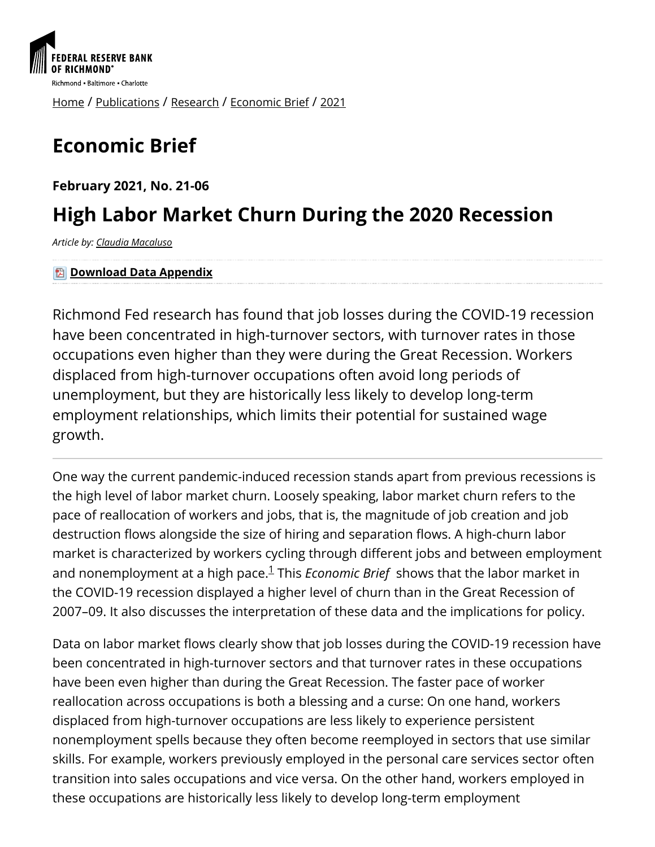

[Home](https://www.richmondfed.org/) / [Publications](https://www.richmondfed.org/publications) / [Research](https://www.richmondfed.org/publications/research) / [Economic Brief](https://www.richmondfed.org/publications/research/economic_brief) / [2021](https://www.richmondfed.org/publications/research/economic_brief/2021)

# **Economic Brief**

**February 2021, No. 21-06**

# **High Labor Market Churn During the 2020 Recession**

*Article by: [Claudia Macaluso](https://www.richmondfed.org/research/people/macaluso)*

**因 [Download Data Appendix](https://www.richmondfed.org/-/media/richmondfedorg/publications/research/economic_brief/2021/pdf/eb_21-06_data_appendix.pdf)** 

Richmond Fed research has found that job losses during the COVID-19 recession have been concentrated in high-turnover sectors, with turnover rates in those occupations even higher than they were during the Great Recession. Workers displaced from high-turnover occupations often avoid long periods of unemployment, but they are historically less likely to develop long-term employment relationships, which limits their potential for sustained wage growth.

One way the current pandemic-induced recession stands apart from previous recessions is the high level of labor market churn. Loosely speaking, labor market churn refers to the pace of reallocation of workers and jobs, that is, the magnitude of job creation and job destruction flows alongside the size of hiring and separation flows. A high-churn labor market is characterized by workers cycling through different jobs and between employment andnonemployment at a high pace.<sup>1</sup> This *Economic Brief* shows that the labor market in the COVID-19 recession displayed a higher level of churn than in the Great Recession of 2007–09. It also discusses the interpretation of these data and the implications for policy.

Data on labor market flows clearly show that job losses during the COVID-19 recession have been concentrated in high-turnover sectors and that turnover rates in these occupations have been even higher than during the Great Recession. The faster pace of worker reallocation across occupations is both a blessing and a curse: On one hand, workers displaced from high-turnover occupations are less likely to experience persistent nonemployment spells because they often become reemployed in sectors that use similar skills. For example, workers previously employed in the personal care services sector often transition into sales occupations and vice versa. On the other hand, workers employed in these occupations are historically less likely to develop long-term employment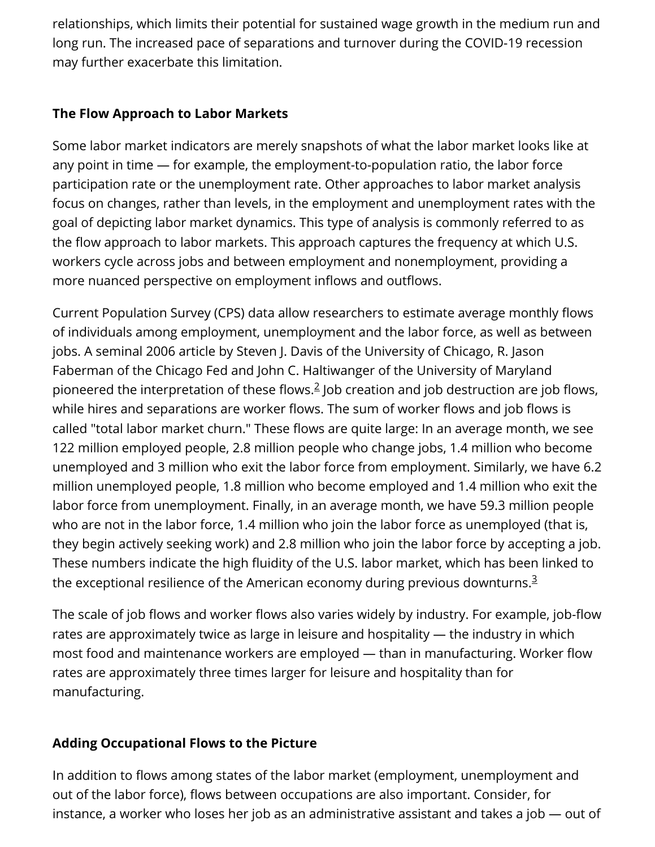relationships, which limits their potential for sustained wage growth in the medium run and long run. The increased pace of separations and turnover during the COVID-19 recession may further exacerbate this limitation.

#### **The Flow Approach to Labor Markets**

Some labor market indicators are merely snapshots of what the labor market looks like at any point in time — for example, the employment-to-population ratio, the labor force participation rate or the unemployment rate. Other approaches to labor market analysis focus on changes, rather than levels, in the employment and unemployment rates with the goal of depicting labor market dynamics. This type of analysis is commonly referred to as the flow approach to labor markets. This approach captures the frequency at which U.S. workers cycle across jobs and between employment and nonemployment, providing a more nuanced perspective on employment inflows and outflows.

Current Population Survey (CPS) data allow researchers to estimate average monthly flows of individuals among employment, unemployment and the labor force, as well as between jobs. A seminal 2006 article by Steven I. Davis of the University of Chicago, R. Jason Faberman of the Chicago Fed and John C. Haltiwanger of the University of Maryland pioneered the interpretation of these flows. $2$  Job creation and job destruction are job flows, while hires and separations are worker flows. The sum of worker flows and job flows is called "total labor market churn." These flows are quite large: In an average month, we see 122 million employed people, 2.8 million people who change jobs, 1.4 million who become unemployed and 3 million who exit the labor force from employment. Similarly, we have 6.2 million unemployed people, 1.8 million who become employed and 1.4 million who exit the labor force from unemployment. Finally, in an average month, we have 59.3 million people who are not in the labor force, 1.4 million who join the labor force as unemployed (that is, they begin actively seeking work) and 2.8 million who join the labor force by accepting a job. These numbers indicate the high fluidity of the U.S. labor market, which has been linked to the exceptional resilience of the American economy during previous downturns. $^{\text{\text{3}}}$  $^{\text{\text{3}}}$  $^{\text{\text{3}}}$ 

The scale of job flows and worker flows also varies widely by industry. For example, job-flow rates are approximately twice as large in leisure and hospitality — the industry in which most food and maintenance workers are employed — than in manufacturing. Worker flow rates are approximately three times larger for leisure and hospitality than for manufacturing.

### **Adding Occupational Flows to the Picture**

In addition to flows among states of the labor market (employment, unemployment and out of the labor force), flows between occupations are also important. Consider, for instance, a worker who loses her job as an administrative assistant and takes a job — out of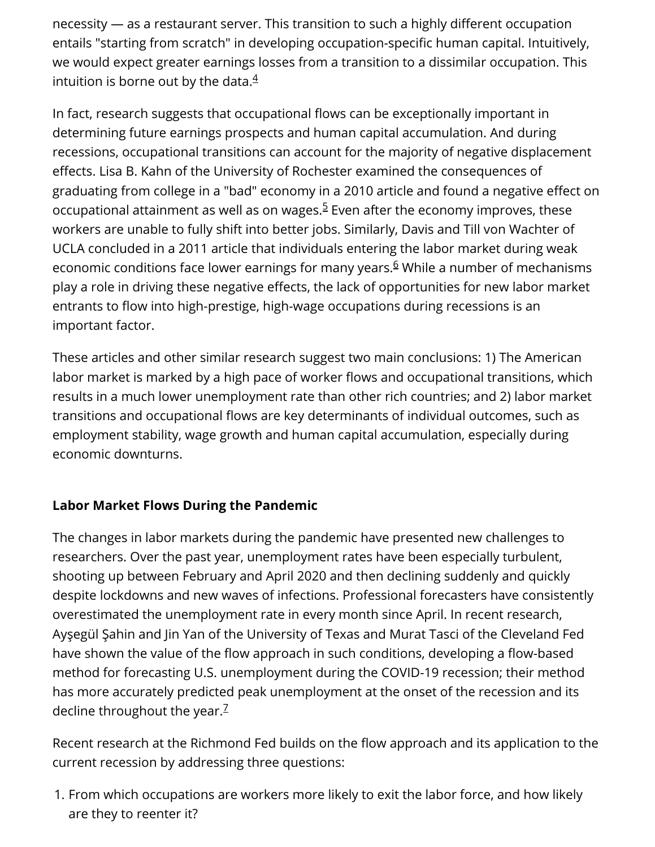$n$ ecessity  $-$  as a restaurant server. This transition to such a highly different occupation entails "starting from scratch" in developing occupation-specific human capital. Intuitively, we would expect greater earnings losses from a transition to a dissimilar occupation. This intuition is borne out by the data. $\rm 4$  $\rm 4$ 

In fact, research suggests that occupational flows can be exceptionally important in determining future earnings prospects and human capital accumulation. And during recessions, occupational transitions can account for the majority of negative displacement effects. Lisa B. Kahn of the University of Rochester examined the consequences of graduating from college in a "bad" economy in a 2010 article and found a negative effect on occupational attainment as well as on wages.<sup>5</sup> Even after the economy improves, these workers are unable to fully shift into better jobs. Similarly, Davis and Till von Wachter of UCLA concluded in a 2011 article that individuals entering the labor market during weak economic conditions face lower earnings for many years.<sup>6</sup> While a number of mechanisms play a role in driving these negative effects, the lack of opportunities for new labor market entrants to flow into high-prestige, high-wage occupations during recessions is an important factor.

These articles and other similar research suggest two main conclusions: 1) The American labor market is marked by a high pace of worker flows and occupational transitions, which results in a much lower unemployment rate than other rich countries; and 2) labor market transitions and occupational flows are key determinants of individual outcomes, such as employment stability, wage growth and human capital accumulation, especially during economic downturns.

#### **Labor Market Flows During the Pandemic**

The changes in labor markets during the pandemic have presented new challenges to researchers. Over the past year, unemployment rates have been especially turbulent, shooting up between February and April 2020 and then declining suddenly and quickly despite lockdowns and new waves of infections. Professional forecasters have consistently overestimated the unemployment rate in every month since April. In recent research, Ayşegül Şahin and Jin Yan of the University of Texas and Murat Tasci of the Cleveland Fed have shown the value of the flow approach in such conditions, developing a flow-based method for forecasting U.S. unemployment during the COVID-19 recession; their method has more accurately predicted peak unemployment at the onset of the recession and its decline throughout the year.<sup>[7](#page-7-6)</sup>

Recent research at the Richmond Fed builds on the flow approach and its application to the current recession by addressing three questions:

1. From which occupations are workers more likely to exit the labor force, and how likely are they to reenter it?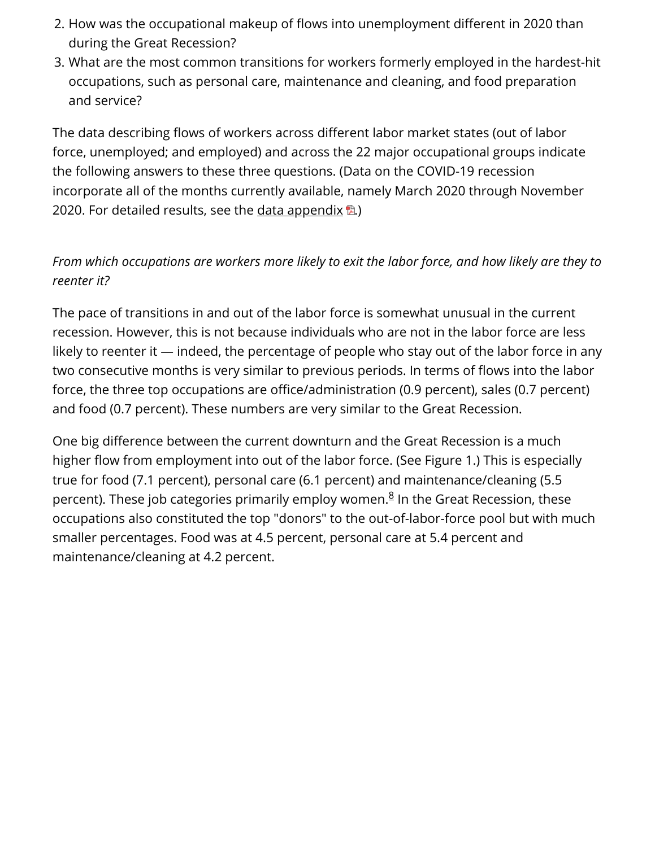- 2. How was the occupational makeup of flows into unemployment different in 2020 than during the Great Recession?
- 3. What are the most common transitions for workers formerly employed in the hardest-hit occupations, such as personal care, maintenance and cleaning, and food preparation and service?

The data describing flows of workers across different labor market states (out of labor force, unemployed; and employed) and across the 22 major occupational groups indicate the following answers to these three questions. (Data on the COVID-19 recession incorporate all of the months currently available, namely March 2020 through November 2020. For detailed results, see the [data appendix](https://www.richmondfed.org/-/media/richmondfedorg/publications/research/economic_brief/2021/pdf/eb_21-06_data_appendix.pdf)  $\mathbb{B}$ .

## *From which occupations are workers more likely to exit the labor force, and how likely are they to reenter it?*

The pace of transitions in and out of the labor force is somewhat unusual in the current recession. However, this is not because individuals who are not in the labor force are less likely to reenter it — indeed, the percentage of people who stay out of the labor force in any two consecutive months is very similar to previous periods. In terms of flows into the labor force, the three top occupations are office/administration (0.9 percent), sales (0.7 percent) and food (0.7 percent). These numbers are very similar to the Great Recession.

One big difference between the current downturn and the Great Recession is a much higher flow from employment into out of the labor force. (See Figure 1.) This is especially true for food (7.1 percent), personal care (6.1 percent) and maintenance/cleaning (5.5 percent)[.](#page-7-7) These job categories primarily employ women.<sup>8</sup> In the Great Recession, these occupations also constituted the top "donors" to the out-of-labor-force pool but with much smaller percentages. Food was at 4.5 percent, personal care at 5.4 percent and maintenance/cleaning at 4.2 percent.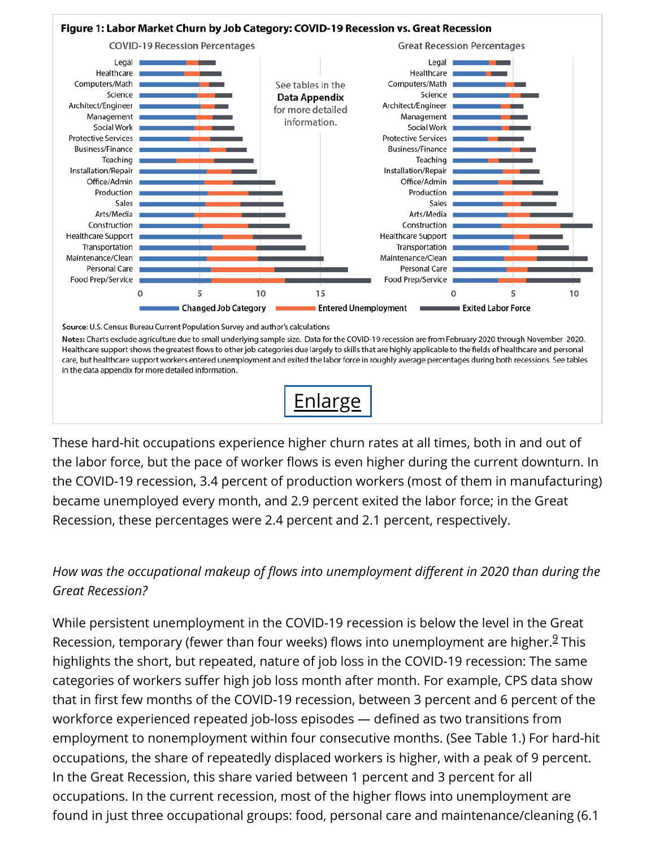

Source: U.S. Census Bureau Current Population Survey and author's calculations

Notes: Charts exclude agriculture due to small underlying sample size. Data for the COVID-19 recession are from February 2020 through November 2020. Healthcare support shows the greatest flows to other job categories due largely to skills that are highly applicable to the fields of healthcare and personal care, but healthcare support workers entered unemployment and exited the labor force in roughly average percentages during both recessions. See tables in the data appendix for more detailed information.



These hard-hit occupations experience higher churn rates at all times, both in and out of the labor force, but the pace of worker flows is even higher during the current downturn. In the COVID-19 recession, 3.4 percent of production workers (most of them in manufacturing) became unemployed every month, and 2.9 percent exited the labor force; in the Great Recession, these percentages were 2.4 percent and 2.1 percent, respectively.

### *How was the occupational makeup of flows into unemployment different in 2020 than during the Great Recession?*

While persistent unemployment in the COVID-19 recession is below the level in the Great Recession,temporary (fewer than four weeks) flows into unemployment are higher.<sup>9</sup> This highlights the short, but repeated, nature of job loss in the COVID-19 recession: The same categories of workers suffer high job loss month after month. For example, CPS data show that in first few months of the COVID-19 recession, between 3 percent and 6 percent of the workforce experienced repeated job-loss episodes - defined as two transitions from employment to nonemployment within four consecutive months. (See Table 1.) For hard-hit occupations, the share of repeatedly displaced workers is higher, with a peak of 9 percent. In the Great Recession, this share varied between 1 percent and 3 percent for all occupations. In the current recession, most of the higher flows into unemployment are found in just three occupational groups: food, personal care and maintenance/cleaning (6.1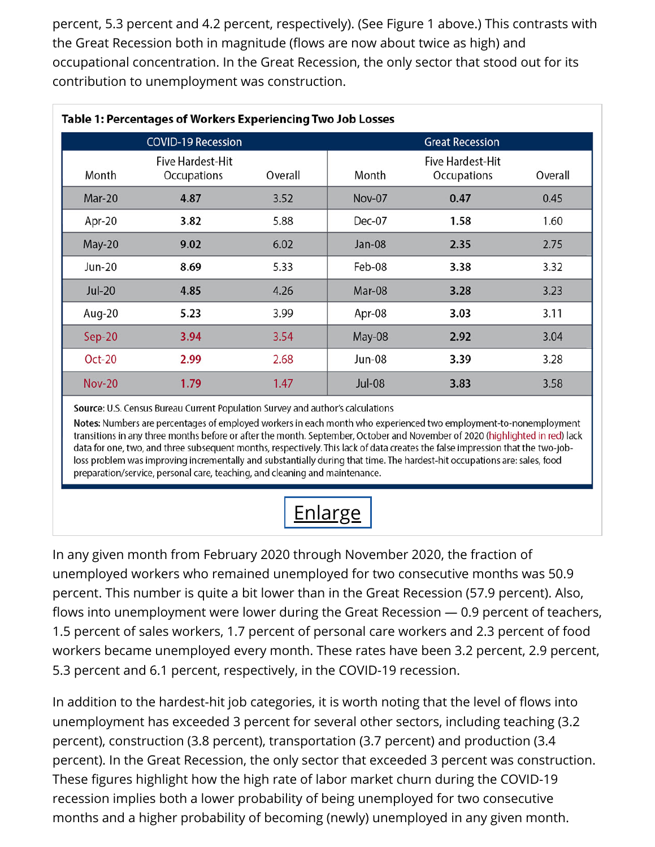percent, 5.3 percent and 4.2 percent, respectively). (See Figure 1 above.) This contrasts with the Great Recession both in magnitude (flows are now about twice as high) and occupational concentration. In the Great Recession, the only sector that stood out for its contribution to unemployment was construction.

| Table 1: Percentages of Workers Experiencing Two Job Losses |                                        |         |               |                                        |         |
|-------------------------------------------------------------|----------------------------------------|---------|---------------|----------------------------------------|---------|
|                                                             | <b>COVID-19 Recession</b>              |         |               | <b>Great Recession</b>                 |         |
| Month                                                       | <b>Five Hardest-Hit</b><br>Occupations | Overall | Month         | <b>Five Hardest-Hit</b><br>Occupations | Overall |
| <b>Mar-20</b>                                               | 4.87                                   | 3.52    | <b>Nov-07</b> | 0.47                                   | 0.45    |
| Apr-20                                                      | 3.82                                   | 5.88    | Dec-07        | 1.58                                   | 1.60    |
| May-20                                                      | 9.02                                   | 6.02    | Jan-08        | 2.35                                   | 2.75    |
| <b>Jun-20</b>                                               | 8.69                                   | 5.33    | Feb-08        | 3.38                                   | 3.32    |
| $Jul-20$                                                    | 4.85                                   | 4.26    | Mar-08        | 3.28                                   | 3.23    |
| Aug-20                                                      | 5.23                                   | 3.99    | Apr-08        | 3.03                                   | 3.11    |
| $Sep-20$                                                    | 3.94                                   | 3.54    | May-08        | 2.92                                   | 3.04    |
| <b>Oct-20</b>                                               | 2.99                                   | 2.68    | <b>Jun-08</b> | 3.39                                   | 3.28    |
| <b>Nov-20</b>                                               | 1.79                                   | 1.47    | <b>Jul-08</b> | 3.83                                   | 3.58    |

Source: U.S. Census Bureau Current Population Survey and author's calculations

Notes: Numbers are percentages of employed workers in each month who experienced two employment-to-nonemployment transitions in any three months before or after the month. September, October and November of 2020 (highlighted in red) lack data for one, two, and three subsequent months, respectively. This lack of data creates the false impression that the two-jobloss problem was improving incrementally and substantially during that time. The hardest-hit occupations are: sales, food preparation/service, personal care, teaching, and cleaning and maintenance.



In any given month from February 2020 through November 2020, the fraction of unemployed workers who remained unemployed for two consecutive months was 50.9 percent. This number is quite a bit lower than in the Great Recession (57.9 percent). Also, flows into unemployment were lower during the Great Recession  $-$  0.9 percent of teachers, 1.5 percent of sales workers, 1.7 percent of personal care workers and 2.3 percent of food workers became unemployed every month. These rates have been 3.2 percent, 2.9 percent, 5.3 percent and 6.1 percent, respectively, in the COVID-19 recession.

In addition to the hardest-hit job categories, it is worth noting that the level of flows into unemployment has exceeded 3 percent for several other sectors, including teaching (3.2 percent), construction (3.8 percent), transportation (3.7 percent) and production (3.4 percent). In the Great Recession, the only sector that exceeded 3 percent was construction. These figures highlight how the high rate of labor market churn during the COVID-19 recession implies both a lower probability of being unemployed for two consecutive months and a higher probability of becoming (newly) unemployed in any given month.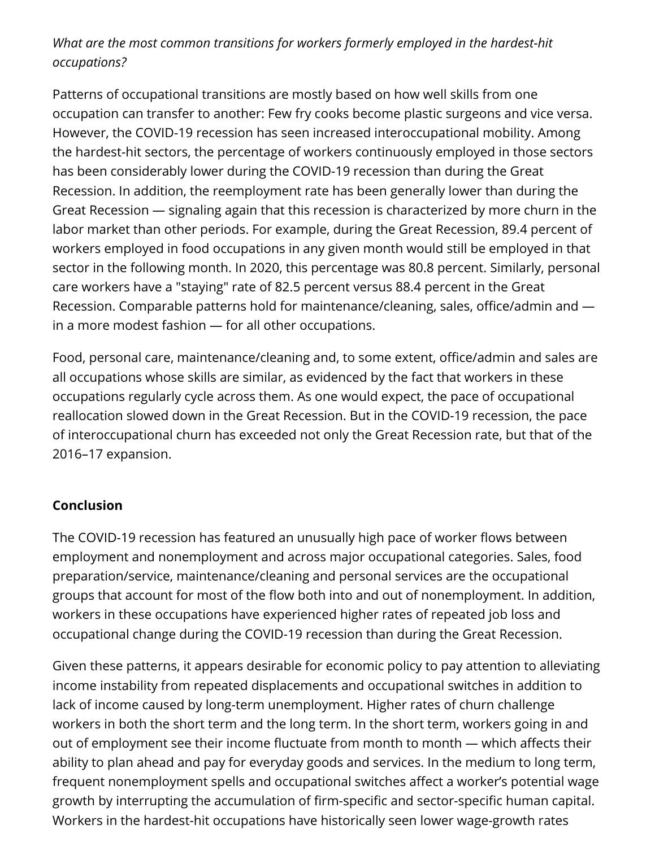#### *What are the most common transitions for workers formerly employed in the hardest-hit occupations?*

Patterns of occupational transitions are mostly based on how well skills from one occupation can transfer to another: Few fry cooks become plastic surgeons and vice versa. However, the COVID-19 recession has seen increased interoccupational mobility. Among the hardest-hit sectors, the percentage of workers continuously employed in those sectors has been considerably lower during the COVID-19 recession than during the Great Recession. In addition, the reemployment rate has been generally lower than during the Great Recession — signaling again that this recession is characterized by more churn in the labor market than other periods. For example, during the Great Recession, 89.4 percent of workers employed in food occupations in any given month would still be employed in that sector in the following month. In 2020, this percentage was 80.8 percent. Similarly, personal care workers have a "staying" rate of 82.5 percent versus 88.4 percent in the Great Recession. Comparable patterns hold for maintenance/cleaning, sales, office/admin and  $$ in a more modest fashion — for all other occupations.

Food, personal care, maintenance/cleaning and, to some extent, office/admin and sales are all occupations whose skills are similar, as evidenced by the fact that workers in these occupations regularly cycle across them. As one would expect, the pace of occupational reallocation slowed down in the Great Recession. But in the COVID-19 recession, the pace of interoccupational churn has exceeded not only the Great Recession rate, but that of the 2016–17 expansion.

#### **Conclusion**

The COVID-19 recession has featured an unusually high pace of worker flows between employment and nonemployment and across major occupational categories. Sales, food preparation/service, maintenance/cleaning and personal services are the occupational groups that account for most of the flow both into and out of nonemployment. In addition, workers in these occupations have experienced higher rates of repeated job loss and occupational change during the COVID-19 recession than during the Great Recession.

Given these patterns, it appears desirable for economic policy to pay attention to alleviating income instability from repeated displacements and occupational switches in addition to lack of income caused by long-term unemployment. Higher rates of churn challenge workers in both the short term and the long term. In the short term, workers going in and out of employment see their income fluctuate from month to month — which affects their ability to plan ahead and pay for everyday goods and services. In the medium to long term, frequent nonemployment spells and occupational switches affect a worker's potential wage growth by interrupting the accumulation of firm-specific and sector-specific human capital. Workers in the hardest-hit occupations have historically seen lower wage-growth rates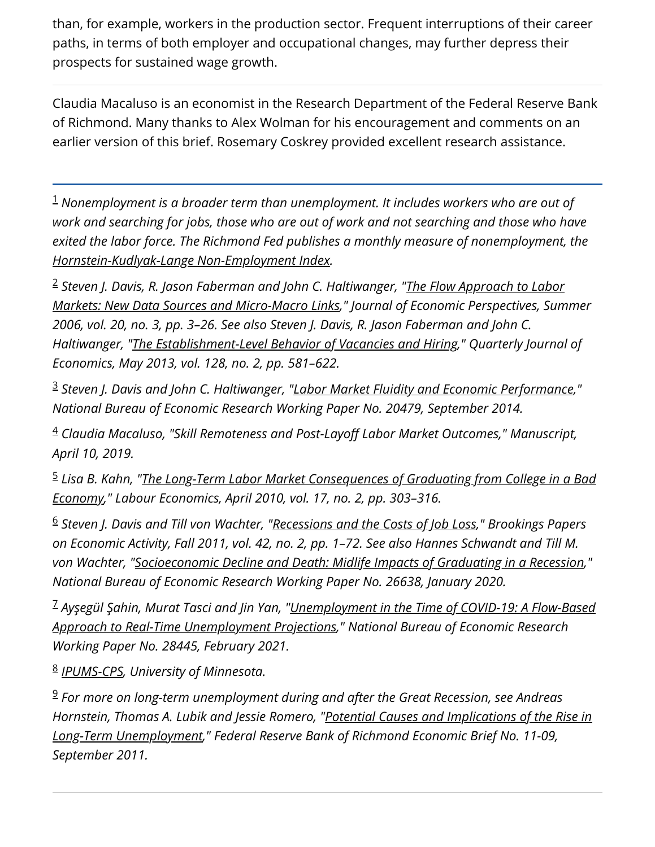than, for example, workers in the production sector. Frequent interruptions of their career paths, in terms of both employer and occupational changes, may further depress their prospects for sustained wage growth.

Claudia Macaluso is an economist in the Research Department of the Federal Reserve Bank of Richmond. Many thanks to Alex Wolman for his encouragement and comments on an earlier version of this brief. Rosemary Coskrey provided excellent research assistance.

<span id="page-7-0"></span>*Nonemployment is a broader term than unemployment. It includes workers who are out of* 1 *work and searching for jobs, those who are out of work and not searching and those who have exited the labor force. The Richmond Fed publishes a monthly measure of nonemployment, the [Hornstein-Kudlyak-Lange Non-Employment Index.](https://www.richmondfed.org/research/national_economy/non_employment_index)*

<span id="page-7-1"></span><sup>2</sup> Steven J. Davis, R. Jason Faberman and John C. Haltiwanger, "<u>The Flow Approach to Labor</u> *[Markets: New Data Sources and Micro-Macro Links," Journal of Economic Perspectives, Sum](https://doi.org/10.1257/jep.20.3.3)mer 2006, vol. 20, no. 3, pp. 3–26. See also Steven J. Davis, R. Jason Faberman and John C. Haltiwanger, ["The Establishment-Level Behavior of Vacancies and Hiring](https://doi.org/10.1093/qje/qjt002)," Quarterly Journal of Economics, May 2013, vol. 128, no. 2, pp. 581–622.*

<span id="page-7-2"></span>*Steven J. Davis and John C. Haltiwanger, "[Labor Market Fluidity and Economic Performance,](https://doi.org/10.3386/w20479)"* 3 *National Bureau of Economic Research Working Paper No. 20479, September 2014.*

<span id="page-7-3"></span><sup>4</sup> Claudia Macaluso, "Skill Remoteness and Post-Layoff Labor Market Outcomes," Manuscript, *April 10, 2019.*

<span id="page-7-4"></span><sup>5</sup> Lisa B. Kahn, "<u>The Long-Term Labor Market Consequences of Graduating from College in a Bad</u> *Economy," Labour Economics, April 2010, vol. 17, no. 2, pp. 303–316.*

<span id="page-7-5"></span>*Steven J. Davis and Till von Wachter, ["Recessions and the Costs of Job Loss](https://www.brookings.edu/wp-content/uploads/2011/09/2011b_bpea_davis.pdf)," Brookings Papers* 6 *on Economic Activity, Fall 2011, vol. 42, no. 2, pp. 1–72. See also Hannes Schwandt and Till M. von Wachter, "[Socioeconomic Decline and Death: Midlife Impacts of Graduating in a Recession](https://doi.org/10.3386/w26638)," National Bureau of Economic Research Working Paper No. 26638, January 2020.*

<span id="page-7-6"></span>*Ayşegül Şahin, Murat Tasci and Jin Yan, "Unemployment in the Time of COVID-19: A Flow-Based* 7 *[Approach to Real-Time Unemployment Projections," National Bureau of Economic Research](https://doi.org/10.3386/w28445) Working Paper No. 28445, February 2021.*

<span id="page-7-7"></span>*[IPUMS-CPS](https://cps.ipums.org/cps/), University of Minnesota.* 8

<span id="page-7-8"></span>*For more on long-term unemployment during and after the Great Recession, see Andreas* 9*[Hornstein, Thomas A. Lubik and Jessie Romero, "Potential Causes and Implications of the Rise in](https://www.richmondfed.org/publications/research/economic_brief/2011/eb_11-09) Long-Term Unemployment," Federal Reserve Bank of Richmond Economic Brief No. 11-09, September 2011.*